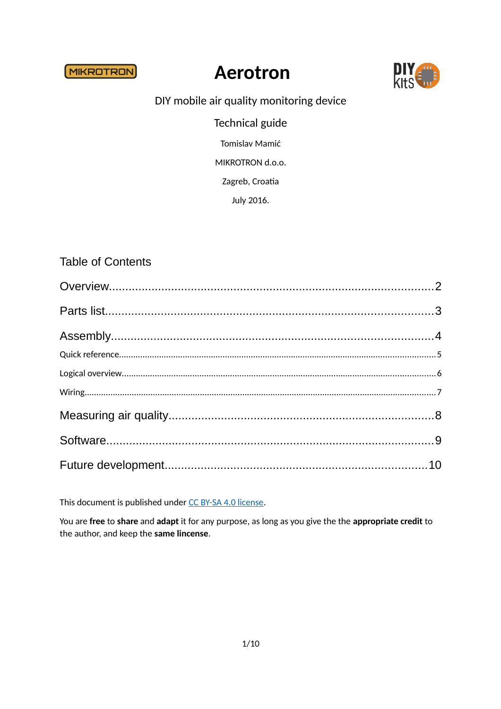**MIKROTRON** 

# **Aerotron**



#### DIY mobile air quality monitoring device

**Technical guide** 

Tomislav Mamić

MIKROTRON d.o.o.

Zagreb, Croatia

July 2016.

#### **Table of Contents**

This document is published under CC BY-SA 4.0 license.

You are free to share and adapt it for any purpose, as long as you give the the appropriate credit to the author, and keep the same lincense.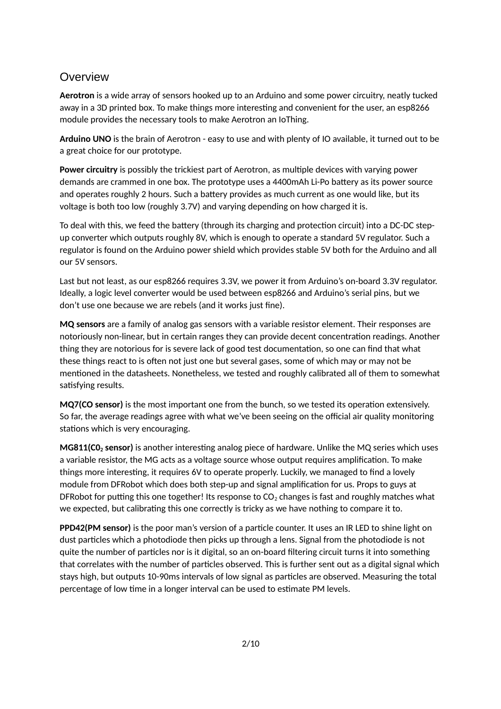#### <span id="page-1-0"></span>Overview

**Aerotron** is a wide array of sensors hooked up to an Arduino and some power circuitry, neatly tucked away in a 3D printed box. To make things more interesting and convenient for the user, an esp8266 module provides the necessary tools to make Aerotron an IoThing.

**Arduino UNO** is the brain of Aerotron - easy to use and with plenty of IO available, it turned out to be a great choice for our prototype.

**Power circuitry** is possibly the trickiest part of Aerotron, as multiple devices with varying power demands are crammed in one box. The prototype uses a 4400mAh Li-Po battery as its power source and operates roughly 2 hours. Such a battery provides as much current as one would like, but its voltage is both too low (roughly 3.7V) and varying depending on how charged it is.

To deal with this, we feed the battery (through its charging and protection circuit) into a DC-DC stepup converter which outputs roughly 8V, which is enough to operate a standard 5V regulator. Such a regulator is found on the Arduino power shield which provides stable 5V both for the Arduino and all our 5V sensors.

Last but not least, as our esp8266 requires 3.3V, we power it from Arduino's on-board 3.3V regulator. Ideally, a logic level converter would be used between esp8266 and Arduino's serial pins, but we don't use one because we are rebels (and it works just fine).

**MQ sensors** are a family of analog gas sensors with a variable resistor element. Their responses are notoriously non-linear, but in certain ranges they can provide decent concentration readings. Another thing they are notorious for is severe lack of good test documentation, so one can find that what these things react to is often not just one but several gases, some of which may or may not be mentioned in the datasheets. Nonetheless, we tested and roughly calibrated all of them to somewhat satisfying results.

**MQ7(CO sensor)** is the most important one from the bunch, so we tested its operation extensively. So far, the average readings agree with what we've been seeing on the official air quality monitoring stations which is very encouraging.

**MG811(C02 sensor)** is another interesting analog piece of hardware. Unlike the MQ series which uses a variable resistor, the MG acts as a voltage source whose output requires amplification. To make things more interesting, it requires 6V to operate properly. Luckily, we managed to find a lovely module from DFRobot which does both step-up and signal amplification for us. Props to guys at DFRobot for putting this one together! Its response to  $CO<sub>2</sub>$  changes is fast and roughly matches what we expected, but calibrating this one correctly is tricky as we have nothing to compare it to.

**PPD42(PM sensor)** is the poor man's version of a particle counter. It uses an IR LED to shine light on dust particles which a photodiode then picks up through a lens. Signal from the photodiode is not quite the number of particles nor is it digital, so an on-board filtering circuit turns it into something that correlates with the number of particles observed. This is further sent out as a digital signal which stays high, but outputs 10-90ms intervals of low signal as particles are observed. Measuring the total percentage of low time in a longer interval can be used to estimate PM levels.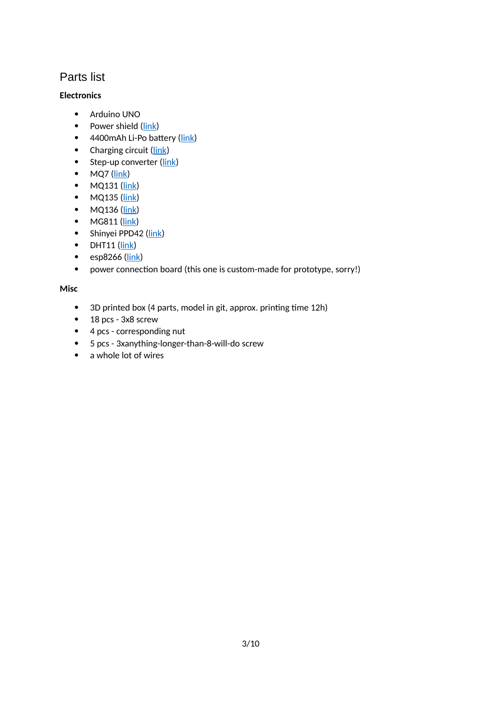## <span id="page-2-0"></span>Parts list

#### **Electronics**

- Arduino UNO
- Power shield  $(\frac{link}{\cdot})$
- 4400mAh Li-Po battery [\(link\)](http://www.diykits.eu/products/p_10486)
- Charging circuit [\(link\)](http://www.diykits.eu/products/p_10703)
- $\bullet$  Step-up converter [\(link\)](http://www.diykits.eu/products/p_10513)
- $-MQ7$  [\(link\)](http://www.sainsmart.com/sainsmart-mq7-co-carbon-monoxide-gas-sensor-module-for-arduino-uno-mega2560-r3.html)
- $\bullet$  MQ131 [\(link\)](http://www.sainsmart.com/sainsmart-mq131-gas-sensor-ozone-module-for-arduino-uno-mega2560-r3-raspberry-pi.html)
- $\bullet$  MQ135 [\(link\)](http://www.sainsmart.com/sainsmart-mq135-sensor-air-quality-sensor-hazardous-gas-detection-module-arduino.html)
- $\bullet$  MQ136 [\(link\)](http://www.sainsmart.com/sainsmart-mq136-gas-sensor-hydrogen-for-arduino-mega2560-uno-r3-raspberry-pi.html)
- MG811 [\(link\)](http://www.dfrobot.com/index.php?route=product/product&product_id=1023#.V3-VDEeWEQQ)
- Shinyei PPD42 [\(link\)](https://www.seeedstudio.com/item_detail.html?p_id=1050)
- $\bullet$  DHT11 [\(link\)](http://www.diykits.eu/products/p_10180)
- $\bullet$  esp8266 [\(link\)](http://www.diykits.eu/products/p_10695)
- power connection board (this one is custom-made for prototype, sorry!)

#### **Misc**

- 3D printed box (4 parts, model in git, approx. printing time 12h)
- 18 pcs 3x8 screw
- 4 pcs corresponding nut
- 5 pcs 3xanything-longer-than-8-will-do screw
- a whole lot of wires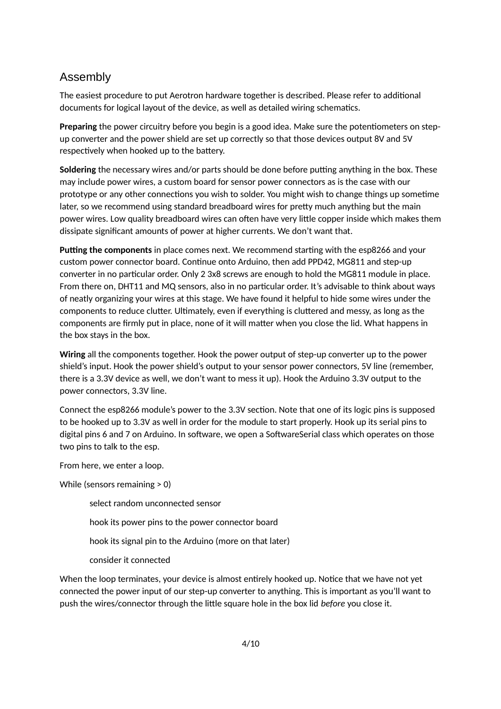#### <span id="page-3-0"></span>Assembly

The easiest procedure to put Aerotron hardware together is described. Please refer to additional documents for logical layout of the device, as well as detailed wiring schematics.

**Preparing** the power circuitry before you begin is a good idea. Make sure the potentiometers on stepup converter and the power shield are set up correctly so that those devices output 8V and 5V respectively when hooked up to the battery.

**Soldering** the necessary wires and/or parts should be done before putting anything in the box. These may include power wires, a custom board for sensor power connectors as is the case with our prototype or any other connections you wish to solder. You might wish to change things up sometime later, so we recommend using standard breadboard wires for pretty much anything but the main power wires. Low quality breadboard wires can often have very little copper inside which makes them dissipate significant amounts of power at higher currents. We don't want that.

**Putting the components** in place comes next. We recommend starting with the esp8266 and your custom power connector board. Continue onto Arduino, then add PPD42, MG811 and step-up converter in no particular order. Only 2 3x8 screws are enough to hold the MG811 module in place. From there on, DHT11 and MQ sensors, also in no particular order. It's advisable to think about ways of neatly organizing your wires at this stage. We have found it helpful to hide some wires under the components to reduce clutter. Ultimately, even if everything is cluttered and messy, as long as the components are firmly put in place, none of it will matter when you close the lid. What happens in the box stays in the box.

**Wiring** all the components together. Hook the power output of step-up converter up to the power shield's input. Hook the power shield's output to your sensor power connectors, 5V line (remember, there is a 3.3V device as well, we don't want to mess it up). Hook the Arduino 3.3V output to the power connectors, 3.3V line.

Connect the esp8266 module's power to the 3.3V section. Note that one of its logic pins is supposed to be hooked up to 3.3V as well in order for the module to start properly. Hook up its serial pins to digital pins 6 and 7 on Arduino. In software, we open a SoftwareSerial class which operates on those two pins to talk to the esp.

From here, we enter a loop.

While (sensors remaining > 0)

select random unconnected sensor hook its power pins to the power connector board hook its signal pin to the Arduino (more on that later) consider it connected

When the loop terminates, your device is almost entirely hooked up. Notice that we have not yet connected the power input of our step-up converter to anything. This is important as you'll want to push the wires/connector through the little square hole in the box lid *before* you close it.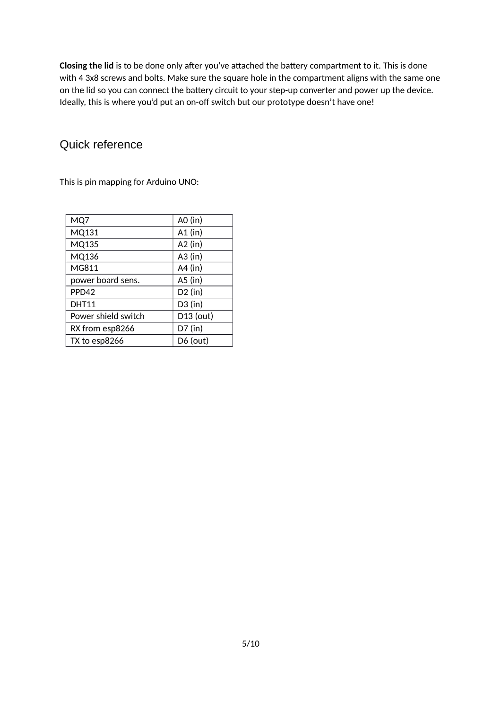**Closing the lid** is to be done only after you've attached the battery compartment to it. This is done with 4 3x8 screws and bolts. Make sure the square hole in the compartment aligns with the same one on the lid so you can connect the battery circuit to your step-up converter and power up the device. Ideally, this is where you'd put an on-off switch but our prototype doesn't have one!

## <span id="page-4-0"></span>Quick reference

This is pin mapping for Arduino UNO:

| MQ7                 | A0 (in)    |
|---------------------|------------|
| MQ131               | $A1$ (in)  |
| MQ135               | $A2$ (in)  |
| MQ136               | $A3$ (in)  |
| MG811               | $A4$ (in)  |
| power board sens.   | $A5$ (in)  |
| PPD42               | $D2$ (in)  |
| <b>DHT11</b>        | $D3$ (in)  |
| Power shield switch | D13 (out)  |
| RX from esp8266     | $D7$ (in)  |
| TX to esp8266       | $D6$ (out) |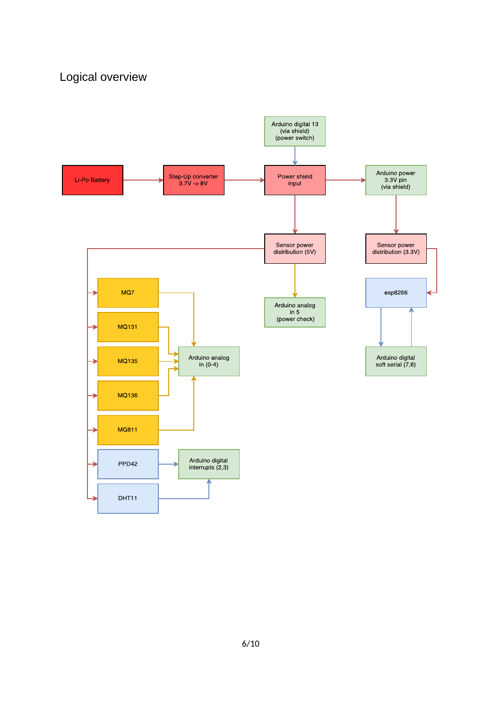# <span id="page-5-0"></span>Logical overview

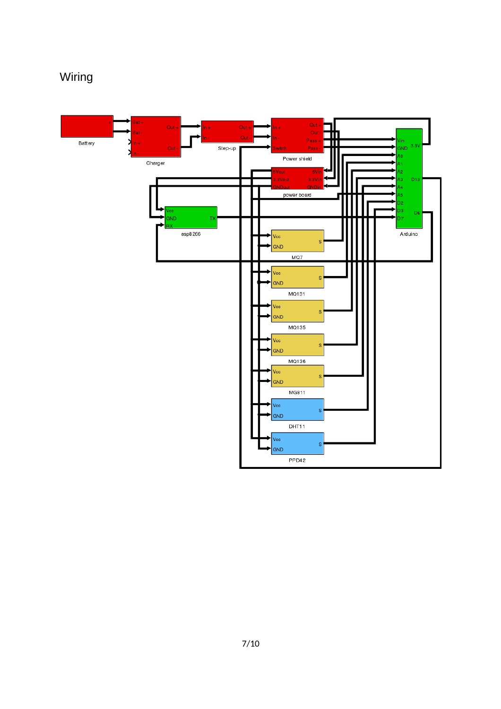# <span id="page-6-0"></span>Wiring

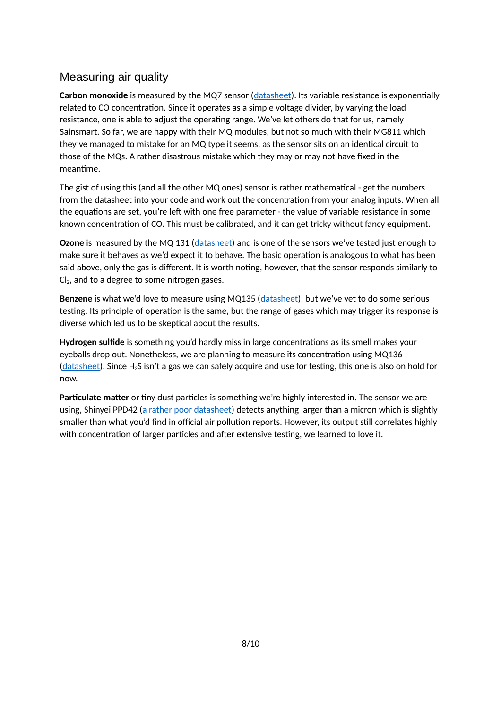## <span id="page-7-0"></span>Measuring air quality

**Carbon monoxide** is measured by the MQ7 sensor [\(datasheet\)](http://eph.ccs.miami.edu/precise/GasSensorSpecs/CO.pdf). Its variable resistance is exponentially related to CO concentration. Since it operates as a simple voltage divider, by varying the load resistance, one is able to adjust the operating range. We've let others do that for us, namely Sainsmart. So far, we are happy with their MQ modules, but not so much with their MG811 which they've managed to mistake for an MQ type it seems, as the sensor sits on an identical circuit to those of the MQs. A rather disastrous mistake which they may or may not have fixed in the meantime.

The gist of using this (and all the other MQ ones) sensor is rather mathematical - get the numbers from the datasheet into your code and work out the concentration from your analog inputs. When all the equations are set, you're left with one free parameter - the value of variable resistance in some known concentration of CO. This must be calibrated, and it can get tricky without fancy equipment.

**Ozone** is measured by the MQ 131 [\(datasheet\)](http://eph.ccs.miami.edu/precise/GasSensorSpecs/Ozone.pdf) and is one of the sensors we've tested just enough to make sure it behaves as we'd expect it to behave. The basic operation is analogous to what has been said above, only the gas is different. It is worth noting, however, that the sensor responds similarly to  $Cl<sub>2</sub>$ , and to a degree to some nitrogen gases.

Benzene is what we'd love to measure using MQ135 [\(datasheet\)](http://www.china-total.com/Product/meter/gas-sensor/MQ135.pdf), but we've yet to do some serious testing. Its principle of operation is the same, but the range of gases which may trigger its response is diverse which led us to be skeptical about the results.

**Hydrogen sulfide** is something you'd hardly miss in large concentrations as its smell makes your eyeballs drop out. Nonetheless, we are planning to measure its concentration using MQ136 [\(datasheet\)](http://www.sensorica.ru/pdf/MQ-136.pdf). Since H2S isn't a gas we can safely acquire and use for testing, this one is also on hold for now.

**Particulate matter** or tiny dust particles is something we're highly interested in. The sensor we are using, Shinyei PPD42 [\(a rather poor datasheet\)](http://www.seeedstudio.com/wiki/images/4/4c/Grove_-_Dust_sensor.pdf) detects anything larger than a micron which is slightly smaller than what you'd find in official air pollution reports. However, its output still correlates highly with concentration of larger particles and after extensive testing, we learned to love it.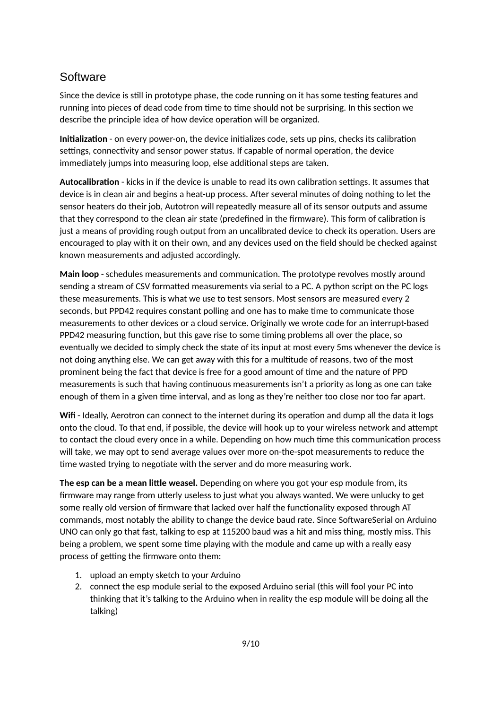#### <span id="page-8-0"></span>**Software**

Since the device is still in prototype phase, the code running on it has some testing features and running into pieces of dead code from time to time should not be surprising. In this section we describe the principle idea of how device operation will be organized.

**Initialization** - on every power-on, the device initializes code, sets up pins, checks its calibration settings, connectivity and sensor power status. If capable of normal operation, the device immediately jumps into measuring loop, else additional steps are taken.

**Autocalibration** - kicks in if the device is unable to read its own calibration settings. It assumes that device is in clean air and begins a heat-up process. After several minutes of doing nothing to let the sensor heaters do their job, Autotron will repeatedly measure all of its sensor outputs and assume that they correspond to the clean air state (predefined in the firmware). This form of calibration is just a means of providing rough output from an uncalibrated device to check its operation. Users are encouraged to play with it on their own, and any devices used on the field should be checked against known measurements and adjusted accordingly.

**Main loop** - schedules measurements and communication. The prototype revolves mostly around sending a stream of CSV formatted measurements via serial to a PC. A python script on the PC logs these measurements. This is what we use to test sensors. Most sensors are measured every 2 seconds, but PPD42 requires constant polling and one has to make time to communicate those measurements to other devices or a cloud service. Originally we wrote code for an interrupt-based PPD42 measuring function, but this gave rise to some timing problems all over the place, so eventually we decided to simply check the state of its input at most every 5ms whenever the device is not doing anything else. We can get away with this for a multitude of reasons, two of the most prominent being the fact that device is free for a good amount of time and the nature of PPD measurements is such that having continuous measurements isn't a priority as long as one can take enough of them in a given time interval, and as long as they're neither too close nor too far apart.

**Wifi** - Ideally, Aerotron can connect to the internet during its operation and dump all the data it logs onto the cloud. To that end, if possible, the device will hook up to your wireless network and attempt to contact the cloud every once in a while. Depending on how much time this communication process will take, we may opt to send average values over more on-the-spot measurements to reduce the time wasted trying to negotiate with the server and do more measuring work.

**The esp can be a mean little weasel.** Depending on where you got your esp module from, its firmware may range from utterly useless to just what you always wanted. We were unlucky to get some really old version of firmware that lacked over half the functionality exposed through AT commands, most notably the ability to change the device baud rate. Since SoftwareSerial on Arduino UNO can only go that fast, talking to esp at 115200 baud was a hit and miss thing, mostly miss. This being a problem, we spent some time playing with the module and came up with a really easy process of getting the firmware onto them:

- 1. upload an empty sketch to your Arduino
- 2. connect the esp module serial to the exposed Arduino serial (this will fool your PC into thinking that it's talking to the Arduino when in reality the esp module will be doing all the talking)